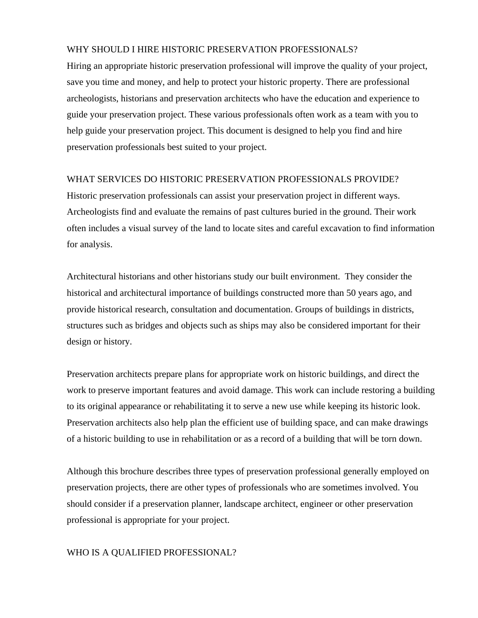#### WHY SHOULD I HIRE HISTORIC PRESERVATION PROFESSIONALS?

Hiring an appropriate historic preservation professional will improve the quality of your project, save you time and money, and help to protect your historic property. There are professional archeologists, historians and preservation architects who have the education and experience to guide your preservation project. These various professionals often work as a team with you to help guide your preservation project. This document is designed to help you find and hire preservation professionals best suited to your project.

#### WHAT SERVICES DO HISTORIC PRESERVATION PROFESSIONALS PROVIDE?

Historic preservation professionals can assist your preservation project in different ways. Archeologists find and evaluate the remains of past cultures buried in the ground. Their work often includes a visual survey of the land to locate sites and careful excavation to find information for analysis.

Architectural historians and other historians study our built environment. They consider the historical and architectural importance of buildings constructed more than 50 years ago, and provide historical research, consultation and documentation. Groups of buildings in districts, structures such as bridges and objects such as ships may also be considered important for their design or history.

Preservation architects prepare plans for appropriate work on historic buildings, and direct the work to preserve important features and avoid damage. This work can include restoring a building to its original appearance or rehabilitating it to serve a new use while keeping its historic look. Preservation architects also help plan the efficient use of building space, and can make drawings of a historic building to use in rehabilitation or as a record of a building that will be torn down.

Although this brochure describes three types of preservation professional generally employed on preservation projects, there are other types of professionals who are sometimes involved. You should consider if a preservation planner, landscape architect, engineer or other preservation professional is appropriate for your project.

# WHO IS A QUALIFIED PROFESSIONAL?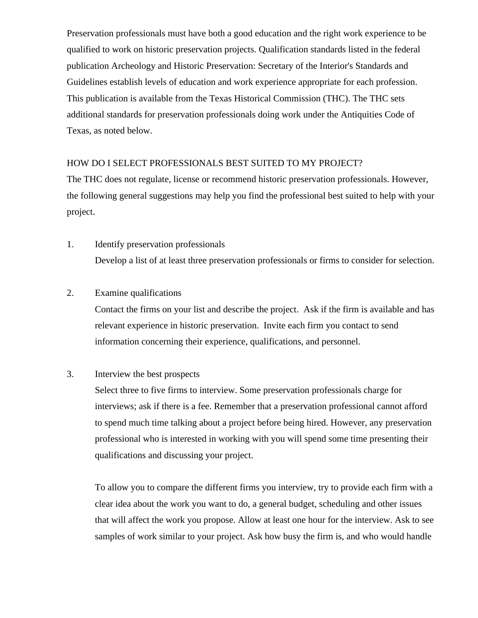Preservation professionals must have both a good education and the right work experience to be qualified to work on historic preservation projects. Qualification standards listed in the federal publication Archeology and Historic Preservation: Secretary of the Interior's Standards and Guidelines establish levels of education and work experience appropriate for each profession. This publication is available from the Texas Historical Commission (THC). The THC sets additional standards for preservation professionals doing work under the Antiquities Code of Texas, as noted below.

### HOW DO I SELECT PROFESSIONALS BEST SUITED TO MY PROJECT?

The THC does not regulate, license or recommend historic preservation professionals. However, the following general suggestions may help you find the professional best suited to help with your project.

1. Identify preservation professionals Develop a list of at least three preservation professionals or firms to consider for selection.

### 2. Examine qualifications

Contact the firms on your list and describe the project. Ask if the firm is available and has relevant experience in historic preservation. Invite each firm you contact to send information concerning their experience, qualifications, and personnel.

# 3. Interview the best prospects

Select three to five firms to interview. Some preservation professionals charge for interviews; ask if there is a fee. Remember that a preservation professional cannot afford to spend much time talking about a project before being hired. However, any preservation professional who is interested in working with you will spend some time presenting their qualifications and discussing your project.

To allow you to compare the different firms you interview, try to provide each firm with a clear idea about the work you want to do, a general budget, scheduling and other issues that will affect the work you propose. Allow at least one hour for the interview. Ask to see samples of work similar to your project. Ask how busy the firm is, and who would handle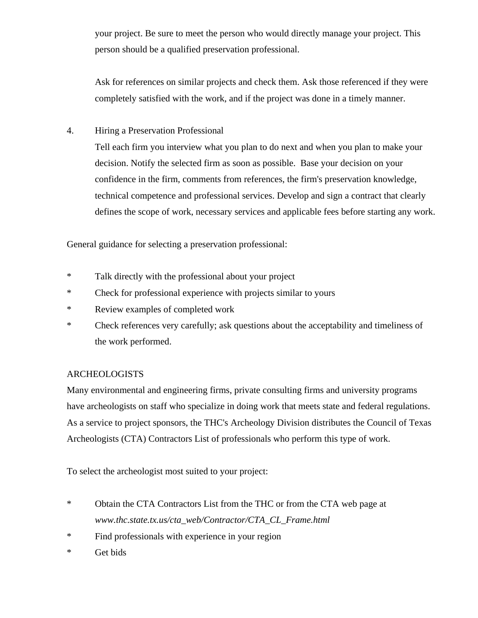your project. Be sure to meet the person who would directly manage your project. This person should be a qualified preservation professional.

Ask for references on similar projects and check them. Ask those referenced if they were completely satisfied with the work, and if the project was done in a timely manner.

4. Hiring a Preservation Professional

Tell each firm you interview what you plan to do next and when you plan to make your decision. Notify the selected firm as soon as possible. Base your decision on your confidence in the firm, comments from references, the firm's preservation knowledge, technical competence and professional services. Develop and sign a contract that clearly defines the scope of work, necessary services and applicable fees before starting any work.

General guidance for selecting a preservation professional:

- \* Talk directly with the professional about your project
- \* Check for professional experience with projects similar to yours
- \* Review examples of completed work
- \* Check references very carefully; ask questions about the acceptability and timeliness of the work performed.

# ARCHEOLOGISTS

Many environmental and engineering firms, private consulting firms and university programs have archeologists on staff who specialize in doing work that meets state and federal regulations. As a service to project sponsors, the THC's Archeology Division distributes the Council of Texas Archeologists (CTA) Contractors List of professionals who perform this type of work.

To select the archeologist most suited to your project:

- \* Obtain the CTA Contractors List from the THC or from the CTA web page at *www.thc.state.tx.us/cta\_web/Contractor/CTA\_CL\_Frame.html*
- \* Find professionals with experience in your region
- \* Get bids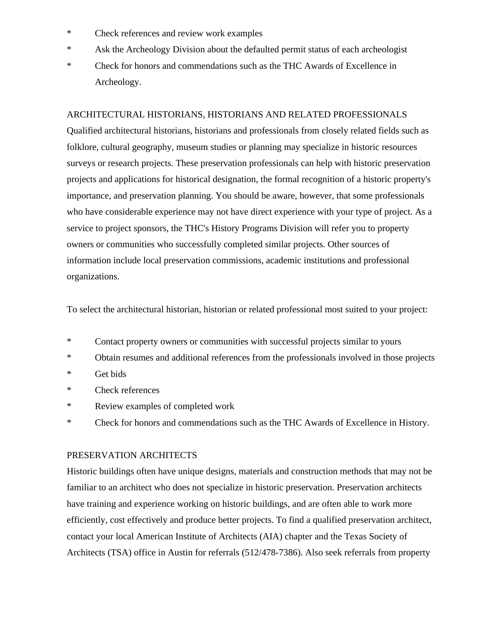- \* Check references and review work examples
- \* Ask the Archeology Division about the defaulted permit status of each archeologist
- \* Check for honors and commendations such as the THC Awards of Excellence in Archeology.

### ARCHITECTURAL HISTORIANS, HISTORIANS AND RELATED PROFESSIONALS

Qualified architectural historians, historians and professionals from closely related fields such as folklore, cultural geography, museum studies or planning may specialize in historic resources surveys or research projects. These preservation professionals can help with historic preservation projects and applications for historical designation, the formal recognition of a historic property's importance, and preservation planning. You should be aware, however, that some professionals who have considerable experience may not have direct experience with your type of project. As a service to project sponsors, the THC's History Programs Division will refer you to property owners or communities who successfully completed similar projects. Other sources of information include local preservation commissions, academic institutions and professional organizations.

To select the architectural historian, historian or related professional most suited to your project:

- \* Contact property owners or communities with successful projects similar to yours
- \* Obtain resumes and additional references from the professionals involved in those projects
- \* Get bids
- \* Check references
- \* Review examples of completed work
- \* Check for honors and commendations such as the THC Awards of Excellence in History.

### PRESERVATION ARCHITECTS

Historic buildings often have unique designs, materials and construction methods that may not be familiar to an architect who does not specialize in historic preservation. Preservation architects have training and experience working on historic buildings, and are often able to work more efficiently, cost effectively and produce better projects. To find a qualified preservation architect, contact your local American Institute of Architects (AIA) chapter and the Texas Society of Architects (TSA) office in Austin for referrals (512/478-7386). Also seek referrals from property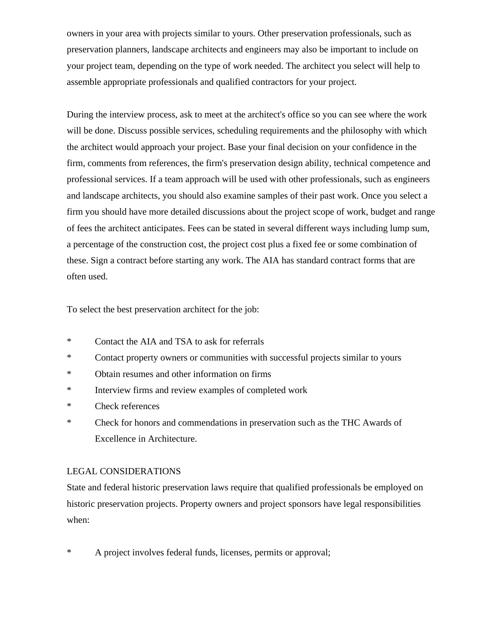owners in your area with projects similar to yours. Other preservation professionals, such as preservation planners, landscape architects and engineers may also be important to include on your project team, depending on the type of work needed. The architect you select will help to assemble appropriate professionals and qualified contractors for your project.

During the interview process, ask to meet at the architect's office so you can see where the work will be done. Discuss possible services, scheduling requirements and the philosophy with which the architect would approach your project. Base your final decision on your confidence in the firm, comments from references, the firm's preservation design ability, technical competence and professional services. If a team approach will be used with other professionals, such as engineers and landscape architects, you should also examine samples of their past work. Once you select a firm you should have more detailed discussions about the project scope of work, budget and range of fees the architect anticipates. Fees can be stated in several different ways including lump sum, a percentage of the construction cost, the project cost plus a fixed fee or some combination of these. Sign a contract before starting any work. The AIA has standard contract forms that are often used.

To select the best preservation architect for the job:

- \* Contact the AIA and TSA to ask for referrals
- \* Contact property owners or communities with successful projects similar to yours
- \* Obtain resumes and other information on firms
- \* Interview firms and review examples of completed work
- \* Check references
- \* Check for honors and commendations in preservation such as the THC Awards of Excellence in Architecture.

### LEGAL CONSIDERATIONS

State and federal historic preservation laws require that qualified professionals be employed on historic preservation projects. Property owners and project sponsors have legal responsibilities when:

\* A project involves federal funds, licenses, permits or approval;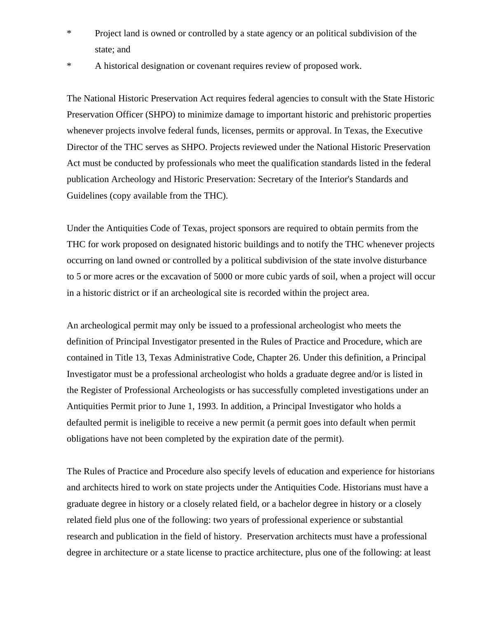- \* Project land is owned or controlled by a state agency or an political subdivision of the state; and
- \* A historical designation or covenant requires review of proposed work.

The National Historic Preservation Act requires federal agencies to consult with the State Historic Preservation Officer (SHPO) to minimize damage to important historic and prehistoric properties whenever projects involve federal funds, licenses, permits or approval. In Texas, the Executive Director of the THC serves as SHPO. Projects reviewed under the National Historic Preservation Act must be conducted by professionals who meet the qualification standards listed in the federal publication Archeology and Historic Preservation: Secretary of the Interior's Standards and Guidelines (copy available from the THC).

Under the Antiquities Code of Texas, project sponsors are required to obtain permits from the THC for work proposed on designated historic buildings and to notify the THC whenever projects occurring on land owned or controlled by a political subdivision of the state involve disturbance to 5 or more acres or the excavation of 5000 or more cubic yards of soil, when a project will occur in a historic district or if an archeological site is recorded within the project area.

An archeological permit may only be issued to a professional archeologist who meets the definition of Principal Investigator presented in the Rules of Practice and Procedure, which are contained in Title 13, Texas Administrative Code, Chapter 26. Under this definition, a Principal Investigator must be a professional archeologist who holds a graduate degree and/or is listed in the Register of Professional Archeologists or has successfully completed investigations under an Antiquities Permit prior to June 1, 1993. In addition, a Principal Investigator who holds a defaulted permit is ineligible to receive a new permit (a permit goes into default when permit obligations have not been completed by the expiration date of the permit).

The Rules of Practice and Procedure also specify levels of education and experience for historians and architects hired to work on state projects under the Antiquities Code. Historians must have a graduate degree in history or a closely related field, or a bachelor degree in history or a closely related field plus one of the following: two years of professional experience or substantial research and publication in the field of history. Preservation architects must have a professional degree in architecture or a state license to practice architecture, plus one of the following: at least